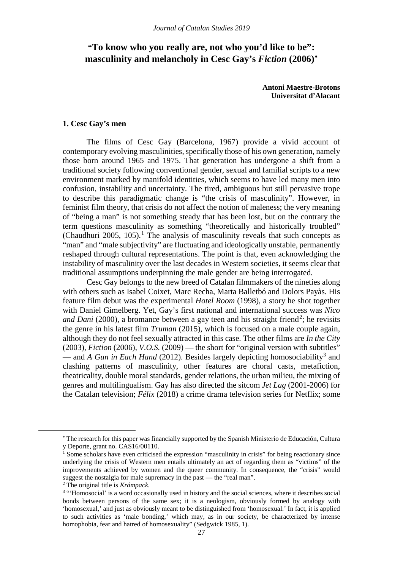# **"To know who you really are, not who you'd like to be": masculinity and melancholy in Cesc Gay's** *Fiction* **(2006)**[∗](#page-0-0)

**Antoni Maestre-Brotons Universitat d'Alacant**

### **1. Cesc Gay's men**

The films of Cesc Gay (Barcelona, 1967) provide a vivid account of contemporary evolving masculinities, specifically those of his own generation, namely those born around 1965 and 1975. That generation has undergone a shift from a traditional society following conventional gender, sexual and familial scripts to a new environment marked by manifold identities, which seems to have led many men into confusion, instability and uncertainty. The tired, ambiguous but still pervasive trope to describe this paradigmatic change is "the crisis of masculinity". However, in feminist film theory, that crisis do not affect the notion of maleness; the very meaning of "being a man" is not something steady that has been lost, but on the contrary the term questions masculinity as something "theoretically and historically troubled" (Chaudhuri 2005,  $105$  $105$ ).<sup>1</sup> The analysis of masculinity reveals that such concepts as "man" and "male subjectivity" are fluctuating and ideologically unstable, permanently reshaped through cultural representations. The point is that, even acknowledging the instability of masculinity over the last decades in Western societies, it seems clear that traditional assumptions underpinning the male gender are being interrogated.

Cesc Gay belongs to the new breed of Catalan filmmakers of the nineties along with others such as Isabel Coixet, Marc Recha, Marta Balletbó and Dolors Payàs. His feature film debut was the experimental *Hotel Room* (1998), a story he shot together with Daniel Gimelberg. Yet, Gay's first national and international success was *Nico and Dani* ([2](#page-0-2)000), a bromance between a gay teen and his straight friend<sup>2</sup>; he revisits the genre in his latest film *Truman* (2015), which is focused on a male couple again, although they do not feel sexually attracted in this case. The other films are *In the City* (2003), *Fiction* (2006), *V.O.S.* (2009) — the short for "original version with subtitles" — and *A Gun in Each Hand* (2012). Besides largely depicting homosociability<sup>[3](#page-0-3)</sup> and clashing patterns of masculinity, other features are choral casts, metafiction, theatricality, double moral standards, gender relations, the urban milieu, the mixing of genres and multilingualism. Gay has also directed the sitcom *Jet Lag* (2001-2006) for the Catalan television; *Félix* (2018) a crime drama television series for Netflix; some

<span id="page-0-1"></span><span id="page-0-0"></span><u>.</u>

<sup>∗</sup> The research for this paper was financially supported by the Spanish Ministerio de Educación, Cultura y Deporte, grant no. CAS16/00110.

<sup>&</sup>lt;sup>1</sup> Some scholars have even criticised the expression "masculinity in crisis" for being reactionary since underlying the crisis of Western men entails ultimately an act of regarding them as "victims" of the improvements achieved by women and the queer community. In consequence, the "crisis" would suggest the nostalgia for male supremacy in the past — the "real man".

<span id="page-0-2"></span><sup>2</sup> The original title is *Krámpack*.

<span id="page-0-3"></span><sup>&</sup>lt;sup>3</sup> "Homosocial' is a word occasionally used in history and the social sciences, where it describes social bonds between persons of the same sex; it is a neologism, obviously formed by analogy with 'homosexual,' and just as obviously meant to be distinguished from 'homosexual.' In fact, it is applied to such activities as 'male bonding,' which may, as in our society, be characterized by intense homophobia, fear and hatred of homosexuality" (Sedgwick 1985, 1).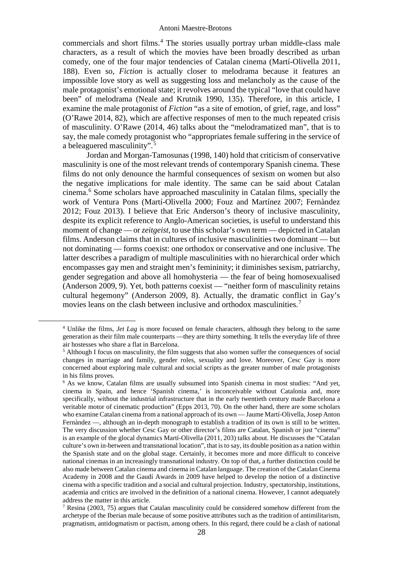commercials and short films. [4](#page-1-0) The stories usually portray urban middle-class male characters, as a result of which the movies have been broadly described as urban comedy, one of the four major tendencies of Catalan cinema (Martí-Olivella 2011, 188). Even so, *Fiction* is actually closer to melodrama because it features an impossible love story as well as suggesting loss and melancholy as the cause of the male protagonist's emotional state; it revolves around the typical "love that could have been" of melodrama (Neale and Krutnik 1990, 135). Therefore, in this article, I examine the male protagonist of *Fiction* "as a site of emotion, of grief, rage, and loss" (O'Rawe 2014, 82), which are affective responses of men to the much repeated crisis of masculinity. O'Rawe (2014, 46) talks about the "melodramatized man", that is to say, the male comedy protagonist who "appropriates female suffering in the service of a beleaguered masculinity". [5](#page-1-1)

Jordan and Morgan-Tamosunas (1998, 140) hold that criticism of conservative masculinity is one of the most relevant trends of contemporary Spanish cinema. These films do not only denounce the harmful consequences of sexism on women but also the negative implications for male identity. The same can be said about Catalan cinema.[6](#page-1-2) Some scholars have approached masculinity in Catalan films, specially the work of Ventura Pons (Martí-Olivella 2000; Fouz and Martínez 2007; Fernàndez 2012; Fouz 2013). I believe that Eric Anderson's theory of inclusive masculinity, despite its explicit reference to Anglo-American societies, is useful to understand this moment of change — or *zeitgeist*, to use this scholar's own term — depicted in Catalan films. Anderson claims that in cultures of inclusive masculinities two dominant — but not dominating — forms coexist: one orthodox or conservative and one inclusive. The latter describes a paradigm of multiple masculinities with no hierarchical order which encompasses gay men and straight men's femininity; it diminishes sexism, patriarchy, gender segregation and above all homohysteria — the fear of being homosexualised (Anderson 2009, 9). Yet, both patterns coexist — "neither form of masculinity retains cultural hegemony" (Anderson 2009, 8). Actually, the dramatic conflict in Gay's movies leans on the clash between inclusive and orthodox masculinities. [7](#page-1-3)

<span id="page-1-0"></span> <sup>4</sup> Unlike the films, *Jet Lag* is more focused on female characters, although they belong to the same generation as their film male counterparts —they are thirty something. It tells the everyday life of three air hostesses who share a flat in Barcelona.

<span id="page-1-1"></span><sup>5</sup> Although I focus on masculinity, the film suggests that also women suffer the consequences of social changes in marriage and family, gender roles, sexuality and love. Moreover, Cesc Gay is more concerned about exploring male cultural and social scripts as the greater number of male protagonists in his films proves.

<span id="page-1-2"></span><sup>6</sup> As we know, Catalan films are usually subsumed into Spanish cinema in most studies: "And yet, cinema in Spain, and hence 'Spanish cinema,' is inconceivable without Catalonia and, more specifically, without the industrial infrastructure that in the early twentieth century made Barcelona a veritable motor of cinematic production" (Epps 2013, 70). On the other hand, there are some scholars who examine Catalan cinema from a national approach of its own — Jaume Martí-Olivella, Josep Anton Fernàndez —, although an in-depth monograph to establish a tradition of its own is still to be written. The very discussion whether Cesc Gay or other director's films are Catalan, Spanish or just "cinema" is an example of the glocal dynamics Martí-Olivella (2011, 203) talks about. He discusses the "Catalan culture's own in-between and transnational location", that is to say, its double position as a nation within the Spanish state and on the global stage. Certainly, it becomes more and more difficult to conceive national cinemas in an increasingly transnational industry. On top of that, a further distinction could be also made between Catalan cinema and cinema in Catalan language. The creation of the Catalan Cinema Academy in 2008 and the Gaudí Awards in 2009 have helped to develop the notion of a distinctive cinema with a specific tradition and a social and cultural projection. Industry, spectatorship, institutions, academia and critics are involved in the definition of a national cinema. However, I cannot adequately address the matter in this article.

<span id="page-1-3"></span><sup>&</sup>lt;sup>7</sup> Resina (2003, 75) argues that Catalan masculinity could be considered somehow different from the archetype of the Iberian male because of some positive attributes such as the tradition of antimilitarism, pragmatism, antidogmatism or pactism, among others. In this regard, there could be a clash of national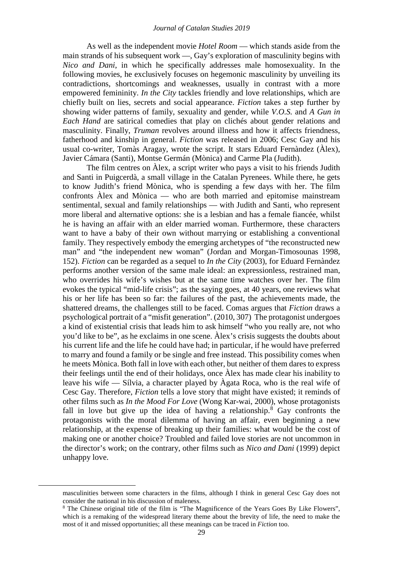As well as the independent movie *Hotel Room* — which stands aside from the main strands of his subsequent work —, Gay's exploration of masculinity begins with *Nico and Dani*, in which he specifically addresses male homosexuality. In the following movies, he exclusively focuses on hegemonic masculinity by unveiling its contradictions, shortcomings and weaknesses, usually in contrast with a more empowered femininity. *In the City* tackles friendly and love relationships, which are chiefly built on lies, secrets and social appearance. *Fiction* takes a step further by showing wider patterns of family, sexuality and gender, while *V.O.S.* and *A Gun in Each Hand* are satirical comedies that play on clichés about gender relations and masculinity. Finally, *Truman* revolves around illness and how it affects friendness, fatherhood and kinship in general. *Fiction* was released in 2006; Cesc Gay and his usual co-writer, Tomàs Aragay, wrote the script. It stars Eduard Fernàndez (Àlex), Javier Cámara (Santi), Montse Germán (Mònica) and Carme Pla (Judith).

The film centres on Àlex, a script writer who pays a visit to his friends Judith and Santi in Puigcerdà, a small village in the Catalan Pyrenees. While there, he gets to know Judith's friend Mònica, who is spending a few days with her. The film confronts Àlex and Mònica — who are both married and epitomise mainstream sentimental, sexual and family relationships — with Judith and Santi, who represent more liberal and alternative options: she is a lesbian and has a female fiancée, whilst he is having an affair with an elder married woman. Furthermore, these characters want to have a baby of their own without marrying or establishing a conventional family. They respectively embody the emerging archetypes of "the reconstructed new man" and "the independent new woman" (Jordan and Morgan-Timosounas 1998, 152). *Fiction* can be regarded as a sequel to *In the City* (2003), for Eduard Fernàndez performs another version of the same male ideal: an expressionless, restrained man, who overrides his wife's wishes but at the same time watches over her. The film evokes the typical "mid-life crisis"; as the saying goes, at 40 years, one reviews what his or her life has been so far: the failures of the past, the achievements made, the shattered dreams, the challenges still to be faced. Comas argues that *Fiction* draws a psychological portrait of a "misfit generation". (2010, 307) The protagonist undergoes a kind of existential crisis that leads him to ask himself "who you really are, not who you'd like to be", as he exclaims in one scene. Àlex's crisis suggests the doubts about his current life and the life he could have had; in particular, if he would have preferred to marry and found a family or be single and free instead. This possibility comes when he meets Mònica. Both fall in love with each other, but neither of them dares to express their feelings until the end of their holidays, once Àlex has made clear his inability to leave his wife — Sílvia, a character played by Àgata Roca, who is the real wife of Cesc Gay. Therefore, *Fiction* tells a love story that might have existed; it reminds of other films such as *In the Mood For Love* (Wong Kar-wai, 2000), whose protagonists fall in love but give up the idea of having a relationship. [8](#page-2-0) Gay confronts the protagonists with the moral dilemma of having an affair, even beginning a new relationship, at the expense of breaking up their families: what would be the cost of making one or another choice? Troubled and failed love stories are not uncommon in the director's work; on the contrary, other films such as *Nico and Dani* (1999) depict unhappy love.

masculinities between some characters in the films, although I think in general Cesc Gay does not consider the national in his discussion of maleness.

<span id="page-2-0"></span><sup>8</sup> The Chinese original title of the film is "The Magnificence of the Years Goes By Like Flowers", which is a remaking of the widespread literary theme about the brevity of life, the need to make the most of it and missed opportunities; all these meanings can be traced in *Fiction* too.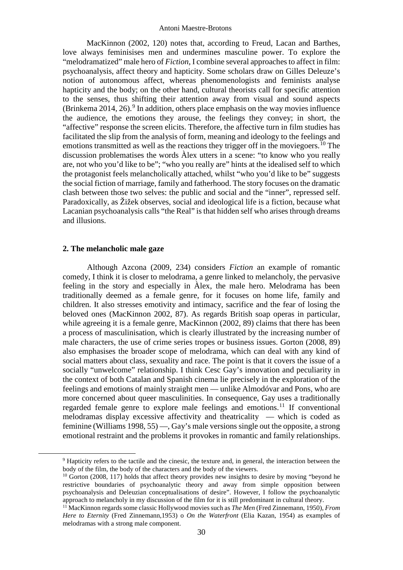MacKinnon (2002, 120) notes that, according to Freud, Lacan and Barthes, love always feminisises men and undermines masculine power. To explore the "melodramatized" male hero of *Fiction*, I combine several approaches to affect in film: psychoanalysis, affect theory and hapticity. Some scholars draw on Gilles Deleuze's notion of autonomous affect, whereas phenomenologists and feminists analyse hapticity and the body; on the other hand, cultural theorists call for specific attention to the senses, thus shifting their attention away from visual and sound aspects (Brinkema 2014, 26). [9](#page-3-0) In addition, others place emphasis on the way movies influence the audience, the emotions they arouse, the feelings they convey; in short, the "affective" response the screen elicits. Therefore, the affective turn in film studies has facilitated the slip from the analysis of form, meaning and ideology to the feelings and emotions transmitted as well as the reactions they trigger off in the moviegoers.<sup>[10](#page-3-1)</sup> The discussion problematises the words Àlex utters in a scene: "to know who you really are, not who you'd like to be"; "who you really are" hints at the idealised self to which the protagonist feels melancholically attached, whilst "who you'd like to be" suggests the social fiction of marriage, family and fatherhood. The story focuses on the dramatic clash between those two selves: the public and social and the "inner", repressed self. Paradoxically, as Žižek observes, social and ideological life is a fiction, because what Lacanian psychoanalysis calls "the Real" is that hidden self who arises through dreams and illusions.

## **2. The melancholic male gaze**

Although Azcona (2009, 234) considers *Fiction* an example of romantic comedy, I think it is closer to melodrama, a genre linked to melancholy, the pervasive feeling in the story and especially in Àlex, the male hero. Melodrama has been traditionally deemed as a female genre, for it focuses on home life, family and children. It also stresses emotivity and intimacy, sacrifice and the fear of losing the beloved ones (MacKinnon 2002, 87). As regards British soap operas in particular, while agreeing it is a female genre, MacKinnon (2002, 89) claims that there has been a process of masculinisation, which is clearly illustrated by the increasing number of male characters, the use of crime series tropes or business issues. Gorton (2008, 89) also emphasises the broader scope of melodrama, which can deal with any kind of social matters about class, sexuality and race. The point is that it covers the issue of a socially "unwelcome" relationship. I think Cesc Gay's innovation and peculiarity in the context of both Catalan and Spanish cinema lie precisely in the exploration of the feelings and emotions of mainly straight men — unlike Almodóvar and Pons, who are more concerned about queer masculinities. In consequence, Gay uses a traditionally regarded female genre to explore male feelings and emotions.<sup>[11](#page-3-2)</sup> If conventional melodramas display excessive affectivity and theatricality — which is coded as feminine (Williams 1998, 55) —, Gay's male versions single out the opposite, a strong emotional restraint and the problems it provokes in romantic and family relationships.

<span id="page-3-0"></span> <sup>9</sup> Hapticity refers to the tactile and the cinesic, the texture and, in general, the interaction between the body of the film, the body of the characters and the body of the viewers.

<span id="page-3-1"></span><sup>&</sup>lt;sup>10</sup> Gorton (2008, 117) holds that affect theory provides new insights to desire by moving "beyond he restrictive boundaries of psychoanalytic theory and away from simple opposition between psychoanalysis and Deleuzian conceptualisations of desire". However, I follow the psychoanalytic approach to melancholy in my discussion of the film for it is still predominant in cultural theory.

<span id="page-3-2"></span><sup>11</sup> MacKinnon regards some classic Hollywood movies such as *The Men* (Fred Zinnemann, 1950), *From Here to Eternity* (Fred Zinnemann,1953) o *On the Waterfront* (Elia Kazan, 1954) as examples of melodramas with a strong male component.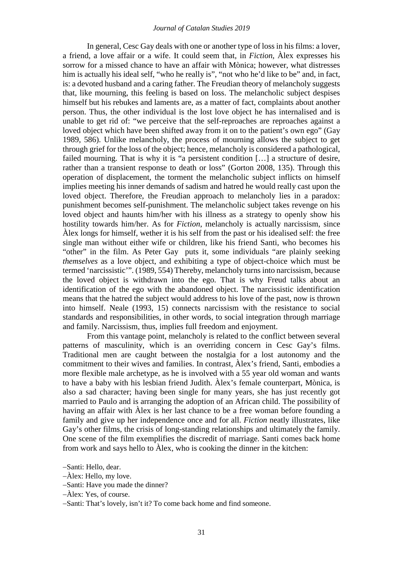In general, Cesc Gay deals with one or another type of loss in his films: a lover, a friend, a love affair or a wife. It could seem that, in *Fiction*, Àlex expresses his sorrow for a missed chance to have an affair with Mònica; however, what distresses him is actually his ideal self, "who he really is", "not who he'd like to be" and, in fact, is: a devoted husband and a caring father. The Freudian theory of melancholy suggests that, like mourning, this feeling is based on loss. The melancholic subject despises himself but his rebukes and laments are, as a matter of fact, complaints about another person. Thus, the other individual is the lost love object he has internalised and is unable to get rid of: "we perceive that the self-reproaches are reproaches against a loved object which have been shifted away from it on to the patient's own ego" (Gay 1989, 586). Unlike melancholy, the process of mourning allows the subject to get through grief for the loss of the object; hence, melancholy is considered a pathological, failed mourning. That is why it is "a persistent condition […] a structure of desire, rather than a transient response to death or loss" (Gorton 2008, 135). Through this operation of displacement, the torment the melancholic subject inflicts on himself implies meeting his inner demands of sadism and hatred he would really cast upon the loved object. Therefore, the Freudian approach to melancholy lies in a paradox: punishment becomes self-punishment. The melancholic subject takes revenge on his loved object and haunts him/her with his illness as a strategy to openly show his hostility towards him/her. As for *Fiction*, melancholy is actually narcissism, since Àlex longs for himself, wether it is his self from the past or his idealised self: the free single man without either wife or children, like his friend Santi, who becomes his "other" in the film. As Peter Gay puts it, some individuals "are plainly seeking *themselves* as a love object, and exhibiting a type of object-choice which must be termed 'narcissistic'". (1989, 554) Thereby, melancholy turns into narcissism, because the loved object is withdrawn into the ego. That is why Freud talks about an identification of the ego with the abandoned object. The narcissistic identification means that the hatred the subject would address to his love of the past, now is thrown into himself. Neale (1993, 15) connects narcissism with the resistance to social standards and responsibilities, in other words, to social integration through marriage and family. Narcissism, thus, implies full freedom and enjoyment.

From this vantage point, melancholy is related to the conflict between several patterns of masculinity, which is an overriding concern in Cesc Gay's films. Traditional men are caught between the nostalgia for a lost autonomy and the commitment to their wives and families. In contrast, Àlex's friend, Santi, embodies a more flexible male archetype, as he is involved with a 55 year old woman and wants to have a baby with his lesbian friend Judith. Àlex's female counterpart, Mònica, is also a sad character; having been single for many years, she has just recently got married to Paulo and is arranging the adoption of an African child. The possibility of having an affair with Àlex is her last chance to be a free woman before founding a family and give up her independence once and for all. *Fiction* neatly illustrates, like Gay's other films, the crisis of long-standing relationships and ultimately the family. One scene of the film exemplifies the discredit of marriage. Santi comes back home from work and says hello to Àlex, who is cooking the dinner in the kitchen:

<sup>−</sup>Santi: Hello, dear.

<sup>−</sup>Àlex: Hello, my love.

<sup>−</sup>Santi: Have you made the dinner?

<sup>−</sup>Àlex: Yes, of course.

<sup>−</sup>Santi: That's lovely, isn't it? To come back home and find someone.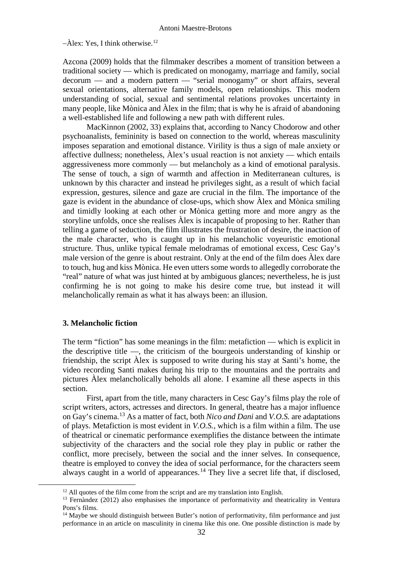−Àlex: Yes, I think otherwise. [12](#page-5-0)

Azcona (2009) holds that the filmmaker describes a moment of transition between a traditional society — which is predicated on monogamy, marriage and family, social decorum — and a modern pattern — "serial monogamy" or short affairs, several sexual orientations, alternative family models, open relationships. This modern understanding of social, sexual and sentimental relations provokes uncertainty in many people, like Mònica and Àlex in the film; that is why he is afraid of abandoning a well-established life and following a new path with different rules.

MacKinnon (2002, 33) explains that, according to Nancy Chodorow and other psychoanalists, femininity is based on connection to the world, whereas masculinity imposes separation and emotional distance. Virility is thus a sign of male anxiety or affective dullness; nonetheless,  $\hat{A}$ lex's usual reaction is not anxiety — which entails aggressiveness more commonly — but melancholy as a kind of emotional paralysis. The sense of touch, a sign of warmth and affection in Mediterranean cultures, is unknown by this character and instead he privileges sight, as a result of which facial expression, gestures, silence and gaze are crucial in the film. The importance of the gaze is evident in the abundance of close-ups, which show Àlex and Mònica smiling and timidly looking at each other or Mònica getting more and more angry as the storyline unfolds, once she realises Àlex is incapable of proposing to her. Rather than telling a game of seduction, the film illustrates the frustration of desire, the inaction of the male character, who is caught up in his melancholic voyeuristic emotional structure. Thus, unlike typical female melodramas of emotional excess, Cesc Gay's male version of the genre is about restraint. Only at the end of the film does Àlex dare to touch, hug and kiss Mònica. He even utters some words to allegedly corroborate the "real" nature of what was just hinted at by ambiguous glances; nevertheless, he is just confirming he is not going to make his desire come true, but instead it will melancholically remain as what it has always been: an illusion.

# **3. Melancholic fiction**

The term "fiction" has some meanings in the film: metafiction — which is explicit in the descriptive title —, the criticism of the bourgeois understanding of kinship or friendship, the script Àlex is supposed to write during his stay at Santi's home, the video recording Santi makes during his trip to the mountains and the portraits and pictures Àlex melancholically beholds all alone. I examine all these aspects in this section.

First, apart from the title, many characters in Cesc Gay's films play the role of script writers, actors, actresses and directors. In general, theatre has a major influence on Gay's cinema. [13](#page-5-1) As a matter of fact, both *Nico and Dani* and *V.O.S.* are adaptations of plays. Metafiction is most evident in *V.O.S.*, which is a film within a film. The use of theatrical or cinematic performance exemplifies the distance between the intimate subjectivity of the characters and the social role they play in public or rather the conflict, more precisely, between the social and the inner selves. In consequence, theatre is employed to convey the idea of social performance, for the characters seem always caught in a world of appearances.<sup>[14](#page-5-2)</sup> They live a secret life that, if disclosed,

<sup>&</sup>lt;sup>12</sup> All quotes of the film come from the script and are my translation into English.

<span id="page-5-1"></span><span id="page-5-0"></span><sup>&</sup>lt;sup>13</sup> Fernàndez (2012) also emphasises the importance of performativity and theatricality in Ventura Pons's films.

<span id="page-5-2"></span><sup>&</sup>lt;sup>14</sup> Maybe we should distinguish between Butler's notion of performativity, film performance and just performance in an article on masculinity in cinema like this one. One possible distinction is made by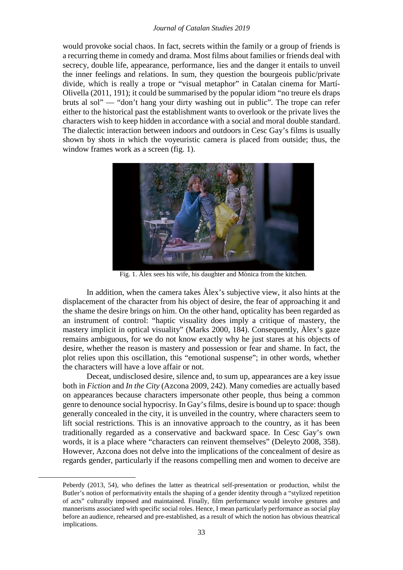would provoke social chaos. In fact, secrets within the family or a group of friends is a recurring theme in comedy and drama. Most films about families or friends deal with secrecy, double life, appearance, performance, lies and the danger it entails to unveil the inner feelings and relations. In sum, they question the bourgeois public/private divide, which is really a trope or "visual metaphor" in Catalan cinema for Martí-Olivella (2011, 191); it could be summarised by the popular idiom "no treure els draps bruts al sol" — "don't hang your dirty washing out in public". The trope can refer either to the historical past the establishment wants to overlook or the private lives the characters wish to keep hidden in accordance with a social and moral double standard. The dialectic interaction between indoors and outdoors in Cesc Gay's films is usually shown by shots in which the voyeuristic camera is placed from outside; thus, the window frames work as a screen (fig. 1).



Fig. 1. Àlex sees his wife, his daughter and Mònica from the kitchen.

In addition, when the camera takes Àlex's subjective view, it also hints at the displacement of the character from his object of desire, the fear of approaching it and the shame the desire brings on him. On the other hand, opticality has been regarded as an instrument of control: "haptic visuality does imply a critique of mastery, the mastery implicit in optical visuality" (Marks 2000, 184). Consequently, Àlex's gaze remains ambiguous, for we do not know exactly why he just stares at his objects of desire, whether the reason is mastery and possession or fear and shame. In fact, the plot relies upon this oscillation, this "emotional suspense"; in other words, whether the characters will have a love affair or not.

Deceat, undisclosed desire, silence and, to sum up, appearances are a key issue both in *Fiction* and *In the City* (Azcona 2009, 242). Many comedies are actually based on appearances because characters impersonate other people, thus being a common genre to denounce social hypocrisy. In Gay's films, desire is bound up to space: though generally concealed in the city, it is unveiled in the country, where characters seem to lift social restrictions. This is an innovative approach to the country, as it has been traditionally regarded as a conservative and backward space. In Cesc Gay's own words, it is a place where "characters can reinvent themselves" (Deleyto 2008, 358). However, Azcona does not delve into the implications of the concealment of desire as regards gender, particularly if the reasons compelling men and women to deceive are

<u>.</u>

Peberdy (2013, 54), who defines the latter as theatrical self-presentation or production, whilst the Butler's notion of performativity entails the shaping of a gender identity through a "stylized repetition of acts" culturally imposed and maintained. Finally, film performance would involve gestures and mannerisms associated with specific social roles. Hence, I mean particularly performance as social play before an audience, rehearsed and pre-established, as a result of which the notion has obvious theatrical implications.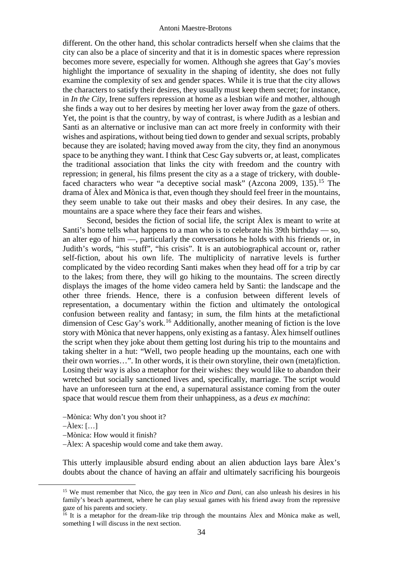different. On the other hand, this scholar contradicts herself when she claims that the city can also be a place of sincerity and that it is in domestic spaces where repression becomes more severe, especially for women. Although she agrees that Gay's movies highlight the importance of sexuality in the shaping of identity, she does not fully examine the complexity of sex and gender spaces. While it is true that the city allows the characters to satisfy their desires, they usually must keep them secret; for instance, in *In the City*, Irene suffers repression at home as a lesbian wife and mother, although she finds a way out to her desires by meeting her lover away from the gaze of others. Yet, the point is that the country, by way of contrast, is where Judith as a lesbian and Santi as an alternative or inclusive man can act more freely in conformity with their wishes and aspirations, without being tied down to gender and sexual scripts, probably because they are isolated; having moved away from the city, they find an anonymous space to be anything they want. I think that Cesc Gay subverts or, at least, complicates the traditional association that links the city with freedom and the country with repression; in general, his films present the city as a a stage of trickery, with double-faced characters who wear "a deceptive social mask" (Azcona 2009, 135).<sup>[15](#page-7-0)</sup> The drama of Àlex and Mònica is that, even though they should feel freer in the mountains, they seem unable to take out their masks and obey their desires. In any case, the mountains are a space where they face their fears and wishes.

Second, besides the fiction of social life, the script Àlex is meant to write at Santi's home tells what happens to a man who is to celebrate his 39th birthday — so, an alter ego of him —, particularly the conversations he holds with his friends or, in Judith's words, "his stuff", "his crisis". It is an autobiographical account or, rather self-fiction, about his own life. The multiplicity of narrative levels is further complicated by the video recording Santi makes when they head off for a trip by car to the lakes; from there, they will go hiking to the mountains. The screen directly displays the images of the home video camera held by Santi: the landscape and the other three friends. Hence, there is a confusion between different levels of representation, a documentary within the fiction and ultimately the ontological confusion between reality and fantasy; in sum, the film hints at the metafictional dimension of Cesc Gay's work. [16](#page-7-1) Additionally, another meaning of fiction is the love story with Mònica that never happens, only existing as a fantasy. Àlex himself outlines the script when they joke about them getting lost during his trip to the mountains and taking shelter in a hut: "Well, two people heading up the mountains, each one with their own worries…". In other words, it is their own storyline, their own (meta)fiction. Losing their way is also a metaphor for their wishes: they would like to abandon their wretched but socially sanctioned lives and, specifically, marriage. The script would have an unforeseen turn at the end, a supernatural assistance coming from the outer space that would rescue them from their unhappiness, as a *deus ex machina*:

−Mònica: Why don't you shoot it?

−Àlex: […]

−Mònica: How would it finish?

−Àlex: A spaceship would come and take them away.

This utterly implausible absurd ending about an alien abduction lays bare Àlex's doubts about the chance of having an affair and ultimately sacrificing his bourgeois

<span id="page-7-0"></span> <sup>15</sup> We must remember that Nico, the gay teen in *Nico and Dani*, can also unleash his desires in his family's beach apartment, where he can play sexual games with his friend away from the repressive gaze of his parents and society.

<span id="page-7-1"></span> $\frac{16}{16}$  It is a metaphor for the dream-like trip through the mountains  $\hat{A}$ lex and Mònica make as well. something I will discuss in the next section.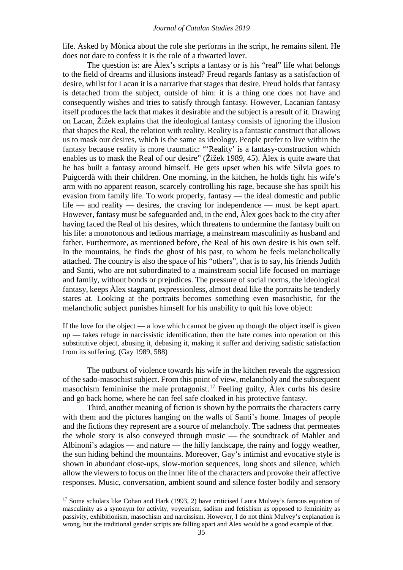life. Asked by Mònica about the role she performs in the script, he remains silent. He does not dare to confess it is the role of a thwarted lover.

The question is: are Àlex's scripts a fantasy or is his "real" life what belongs to the field of dreams and illusions instead? Freud regards fantasy as a satisfaction of desire, whilst for Lacan it is a narrative that stages that desire. Freud holds that fantasy is detached from the subject, outside of him: it is a thing one does not have and consequently wishes and tries to satisfy through fantasy. However, Lacanian fantasy itself produces the lack that makes it desirable and the subject is a result of it. Drawing on Lacan, Žižek explains that the ideological fantasy consists of ignoring the illusion that shapes the Real, the relation with reality. Reality is a fantastic construct that allows us to mask our desires, which is the same as ideology. People prefer to live within the fantasy because reality is more traumatic: "'Reality' is a fantasy-construction which enables us to mask the Real of our desire" (Žižek 1989, 45). Àlex is quite aware that he has built a fantasy around himself. He gets upset when his wife Sílvia goes to Puigcerdà with their children. One morning, in the kitchen, he holds tight his wife's arm with no apparent reason, scarcely controlling his rage, because she has spoilt his evasion from family life. To work properly, fantasy — the ideal domestic and public life — and reality — desires, the craving for independence — must be kept apart. However, fantasy must be safeguarded and, in the end, Àlex goes back to the city after having faced the Real of his desires, which threatens to undermine the fantasy built on his life: a monotonous and tedious marriage, a mainstream masculinity as husband and father. Furthermore, as mentioned before, the Real of his own desire is his own self. In the mountains, he finds the ghost of his past, to whom he feels melancholically attached. The country is also the space of his "others", that is to say, his friends Judith and Santi, who are not subordinated to a mainstream social life focused on marriage and family, without bonds or prejudices. The pressure of social norms, the ideological fantasy, keeps Àlex stagnant, expressionless, almost dead like the portraits he tenderly stares at. Looking at the portraits becomes something even masochistic, for the melancholic subject punishes himself for his unability to quit his love object:

If the love for the object — a love which cannot be given up though the object itself is given up — takes refuge in narcissistic identification, then the hate comes into operation on this substitutive object, abusing it, debasing it, making it suffer and deriving sadistic satisfaction from its suffering. (Gay 1989, 588)

The outburst of violence towards his wife in the kitchen reveals the aggression of the sado-masochist subject. From this point of view, melancholy and the subsequent masochism femininise the male protagonist.<sup>[17](#page-8-0)</sup> Feeling guilty, Alex curbs his desire and go back home, where he can feel safe cloaked in his protective fantasy.

Third, another meaning of fiction is shown by the portraits the characters carry with them and the pictures hanging on the walls of Santi's home. Images of people and the fictions they represent are a source of melancholy. The sadness that permeates the whole story is also conveyed through music — the soundtrack of Mahler and Albinoni's adagios — and nature — the hilly landscape, the rainy and foggy weather, the sun hiding behind the mountains. Moreover, Gay's intimist and evocative style is shown in abundant close-ups, slow-motion sequences, long shots and silence, which allow the viewers to focus on the inner life of the characters and provoke their affective responses. Music, conversation, ambient sound and silence foster bodily and sensory

<span id="page-8-0"></span> $17$  Some scholars like Cohan and Hark (1993, 2) have criticised Laura Mulvey's famous equation of masculinity as a synonym for activity, voyeurism, sadism and fetishism as opposed to femininity as passivity, exhibitionism, masochism and narcissism. However, I do not think Mulvey's explanation is wrong, but the traditional gender scripts are falling apart and Àlex would be a good example of that.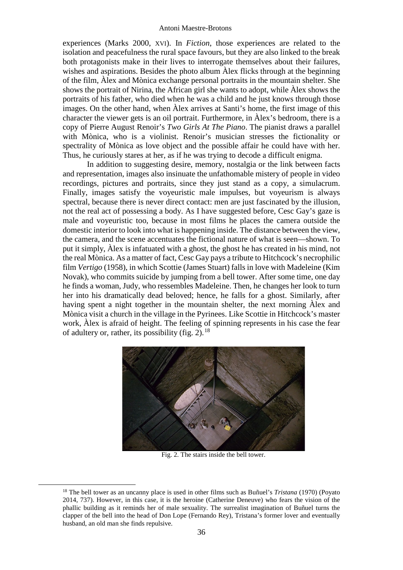experiences (Marks 2000, XVI). In *Fiction*, those experiences are related to the isolation and peacefulness the rural space favours, but they are also linked to the break both protagonists make in their lives to interrogate themselves about their failures, wishes and aspirations. Besides the photo album Àlex flicks through at the beginning of the film, Àlex and Mònica exchange personal portraits in the mountain shelter. She shows the portrait of Nirina, the African girl she wants to adopt, while Àlex shows the portraits of his father, who died when he was a child and he just knows through those images. On the other hand, when Àlex arrives at Santi's home, the first image of this character the viewer gets is an oil portrait. Furthermore, in Àlex's bedroom, there is a copy of Pierre August Renoir's *Two Girls At The Piano*. The pianist draws a parallel with Mònica, who is a violinist. Renoir's musician stresses the fictionality or spectrality of Mònica as love object and the possible affair he could have with her. Thus, he curiously stares at her, as if he was trying to decode a difficult enigma.

In addition to suggesting desire, memory, nostalgia or the link between facts and representation, images also insinuate the unfathomable mistery of people in video recordings, pictures and portraits, since they just stand as a copy, a simulacrum. Finally, images satisfy the voyeuristic male impulses, but voyeurism is always spectral, because there is never direct contact: men are just fascinated by the illusion, not the real act of possessing a body. As I have suggested before, Cesc Gay's gaze is male and voyeuristic too, because in most films he places the camera outside the domestic interior to look into what is happening inside. The distance between the view, the camera, and the scene accentuates the fictional nature of what is seen—shown. To put it simply, Àlex is infatuated with a ghost, the ghost he has created in his mind, not the real Mònica. As a matter of fact, Cesc Gay pays a tribute to Hitchcock's necrophilic film *Vertigo* (1958), in which Scottie (James Stuart) falls in love with Madeleine (Kim Novak), who commits suicide by jumping from a bell tower. After some time, one day he finds a woman, Judy, who ressembles Madeleine. Then, he changes her look to turn her into his dramatically dead beloved; hence, he falls for a ghost. Similarly, after having spent a night together in the mountain shelter, the next morning Àlex and Mònica visit a church in the village in the Pyrinees. Like Scottie in Hitchcock's master work, Àlex is afraid of height. The feeling of spinning represents in his case the fear of adultery or, rather, its possibility (fig. 2).<sup>[18](#page-9-0)</sup>



Fig. 2. The stairs inside the bell tower.

<span id="page-9-0"></span> <sup>18</sup> The bell tower as an uncanny place is used in other films such as Buñuel's *Tristana* (1970) (Poyato 2014, 737). However, in this case, it is the heroine (Catherine Deneuve) who fears the vision of the phallic building as it reminds her of male sexuality. The surrealist imagination of Buñuel turns the clapper of the bell into the head of Don Lope (Fernando Rey), Tristana's former lover and eventually husband, an old man she finds repulsive.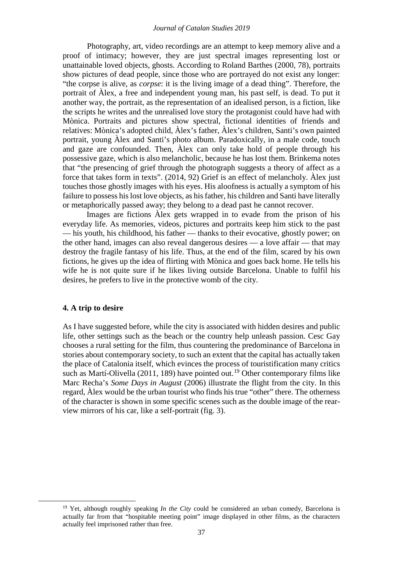Photography, art, video recordings are an attempt to keep memory alive and a proof of intimacy; however, they are just spectral images representing lost or unattainable loved objects, ghosts. According to Roland Barthes (2000, 78), portraits show pictures of dead people, since those who are portrayed do not exist any longer: "the corpse is alive, as *corpse*: it is the living image of a dead thing". Therefore, the portrait of Àlex, a free and independent young man, his past self, is dead. To put it another way, the portrait, as the representation of an idealised person, is a fiction, like the scripts he writes and the unrealised love story the protagonist could have had with Mònica. Portraits and pictures show spectral, fictional identities of friends and relatives: Mònica's adopted child, Àlex's father, Àlex's children, Santi's own painted portrait, young Àlex and Santi's photo album. Paradoxically, in a male code, touch and gaze are confounded. Then, Àlex can only take hold of people through his possessive gaze, which is also melancholic, because he has lost them. Brinkema notes that "the presencing of grief through the photograph suggests a theory of affect as a force that takes form in texts". (2014, 92) Grief is an effect of melancholy. Àlex just touches those ghostly images with his eyes. His aloofness is actually a symptom of his failure to possess his lost love objects, as his father, his children and Santi have literally or metaphorically passed away; they belong to a dead past he cannot recover.

Images are fictions Àlex gets wrapped in to evade from the prison of his everyday life. As memories, videos, pictures and portraits keep him stick to the past — his youth, his childhood, his father — thanks to their evocative, ghostly power; on the other hand, images can also reveal dangerous desires — a love affair — that may destroy the fragile fantasy of his life. Thus, at the end of the film, scared by his own fictions, he gives up the idea of flirting with Mònica and goes back home. He tells his wife he is not quite sure if he likes living outside Barcelona. Unable to fulfil his desires, he prefers to live in the protective womb of the city.

### **4. A trip to desire**

As I have suggested before, while the city is associated with hidden desires and public life, other settings such as the beach or the country help unleash passion. Cesc Gay chooses a rural setting for the film, thus countering the predominance of Barcelona in stories about contemporary society, to such an extent that the capital has actually taken the place of Catalonia itself, which evinces the process of touristification many critics such as Martí-Olivella (2011, 189) have pointed out.<sup>[19](#page-10-0)</sup> Other contemporary films like Marc Recha's *Some Days in August* (2006) illustrate the flight from the city. In this regard, Àlex would be the urban tourist who finds his true "other" there. The otherness of the character is shown in some specific scenes such as the double image of the rearview mirrors of his car, like a self-portrait (fig. 3).

<span id="page-10-0"></span><sup>&</sup>lt;sup>19</sup> Yet, although roughly speaking *In the City* could be considered an urban comedy, Barcelona is actually far from that "hospitable meeting point" image displayed in other films, as the characters actually feel imprisoned rather than free.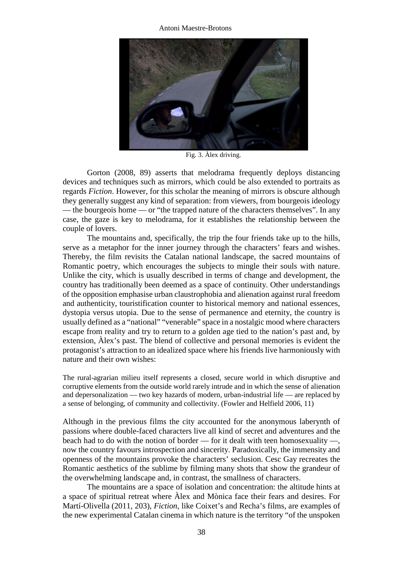Antoni Maestre-Brotons



Fig. 3. Àlex driving.

Gorton (2008, 89) asserts that melodrama frequently deploys distancing devices and techniques such as mirrors, which could be also extended to portraits as regards *Fiction*. However, for this scholar the meaning of mirrors is obscure although they generally suggest any kind of separation: from viewers, from bourgeois ideology — the bourgeois home — or "the trapped nature of the characters themselves". In any case, the gaze is key to melodrama, for it establishes the relationship between the couple of lovers.

The mountains and, specifically, the trip the four friends take up to the hills, serve as a metaphor for the inner journey through the characters' fears and wishes. Thereby, the film revisits the Catalan national landscape, the sacred mountains of Romantic poetry, which encourages the subjects to mingle their souls with nature. Unlike the city, which is usually described in terms of change and development, the country has traditionally been deemed as a space of continuity. Other understandings of the opposition emphasise urban claustrophobia and alienation against rural freedom and authenticity, touristification counter to historical memory and national essences, dystopia versus utopia. Due to the sense of permanence and eternity, the country is usually defined as a "national" "venerable" space in a nostalgic mood where characters escape from reality and try to return to a golden age tied to the nation's past and, by extension, Àlex's past. The blend of collective and personal memories is evident the protagonist's attraction to an idealized space where his friends live harmoniously with nature and their own wishes:

The rural-agrarian milieu itself represents a closed, secure world in which disruptive and corruptive elements from the outside world rarely intrude and in which the sense of alienation and depersonalization — two key hazards of modern, urban-industrial life — are replaced by a sense of belonging, of community and collectivity. (Fowler and Helfield 2006, 11)

Although in the previous films the city accounted for the anonymous laberynth of passions where double-faced characters live all kind of secret and adventures and the beach had to do with the notion of border — for it dealt with teen homosexuality —, now the country favours introspection and sincerity. Paradoxically, the immensity and openness of the mountains provoke the characters' seclusion. Cesc Gay recreates the Romantic aesthetics of the sublime by filming many shots that show the grandeur of the overwhelming landscape and, in contrast, the smallness of characters.

The mountains are a space of isolation and concentration: the altitude hints at a space of spiritual retreat where Àlex and Mònica face their fears and desires. For Martí-Olivella (2011, 203), *Fiction*, like Coixet's and Recha's films, are examples of the new experimental Catalan cinema in which nature is the territory "of the unspoken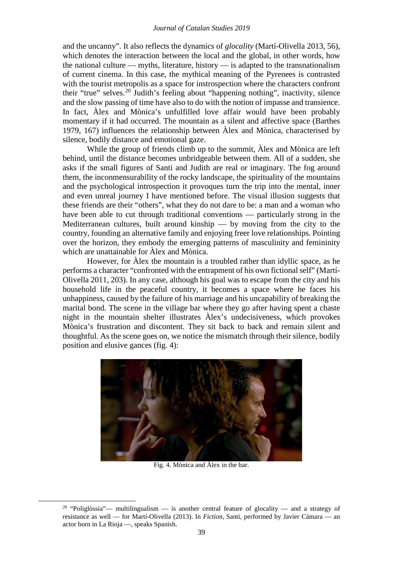and the uncanny". It also reflects the dynamics of *glocality* (Martí-Olivella 2013, 56), which denotes the interaction between the local and the global, in other words, how the national culture — myths, literature, history — is adapted to the transnationalism of current cinema. In this case, the mythical meaning of the Pyrenees is contrasted with the tourist metropolis as a space for instrospection where the characters confront their "true" selves.<sup>[20](#page-12-0)</sup> Judith's feeling about "happening nothing", inactivity, silence and the slow passing of time have also to do with the notion of impasse and transience. In fact, Àlex and Mònica's unfulfilled love affair would have been probably momentary if it had occurred. The mountain as a silent and affective space (Barthes 1979, 167) influences the relationship between Àlex and Mònica, characterised by silence, bodily distance and emotional gaze.

While the group of friends climb up to the summit, Àlex and Mònica are left behind, until the distance becomes unbridgeable between them. All of a sudden, she asks if the small figures of Santi and Judith are real or imaginary. The fog around them, the inconmensurability of the rocky landscape, the spirituality of the mountains and the psychological introspection it provoques turn the trip into the mental, inner and even unreal journey I have mentioned before. The visual illusion suggests that these friends are their "others", what they do not dare to be: a man and a woman who have been able to cut through traditional conventions — particularly strong in the Mediterranean cultures, built around kinship — by moving from the city to the country, founding an alternative family and enjoying freer love relationships. Pointing over the horizon, they embody the emerging patterns of masculinity and femininity which are unattainable for Àlex and Mònica.

However, for Àlex the mountain is a troubled rather than idyllic space, as he performs a character "confronted with the entrapment of his own fictional self" (Martí-Olivella 2011, 203). In any case, although his goal was to escape from the city and his household life in the peaceful country, it becomes a space where he faces his unhappiness, caused by the failure of his marriage and his uncapability of breaking the marital bond. The scene in the village bar where they go after having spent a chaste night in the mountain shelter illustrates Àlex's undecisiveness, which provokes Mònica's frustration and discontent. They sit back to back and remain silent and thoughtful. As the scene goes on, we notice the mismatch through their silence, bodily position and elusive gances (fig. 4):



Fig. 4. Mònica and Àlex in the bar.

<span id="page-12-0"></span><sup>&</sup>lt;sup>20</sup> "Poliglòssia"— multilingualism — is another central feature of glocality — and a strategy of resistance as well — for Martí-Olivella (2013). In *Fiction*, Santi, performed by Javier Cámara — an actor born in La Rioja —, speaks Spanish.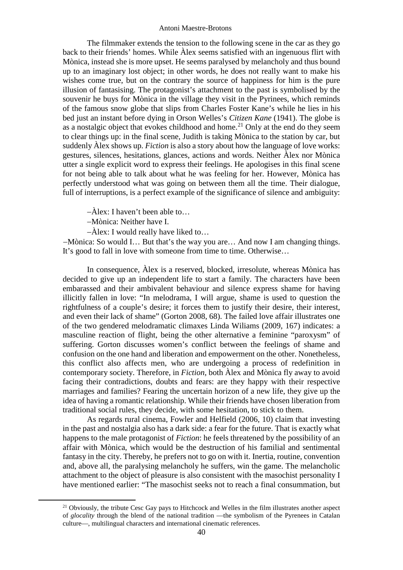The filmmaker extends the tension to the following scene in the car as they go back to their friends' homes. While Àlex seems satisfied with an ingenuous flirt with Mònica, instead she is more upset. He seems paralysed by melancholy and thus bound up to an imaginary lost object; in other words, he does not really want to make his wishes come true, but on the contrary the source of happiness for him is the pure illusion of fantasising. The protagonist's attachment to the past is symbolised by the souvenir he buys for Mònica in the village they visit in the Pyrinees, which reminds of the famous snow globe that slips from Charles Foster Kane's while he lies in his bed just an instant before dying in Orson Welles's *Citizen Kane* (1941). The globe is as a nostalgic object that evokes childhood and home.<sup>[21](#page-13-0)</sup> Only at the end do they seem to clear things up: in the final scene, Judith is taking Mònica to the station by car, but suddenly Àlex shows up. *Fiction* is also a story about how the language of love works: gestures, silences, hesitations, glances, actions and words. Neither Àlex nor Mònica utter a single explicit word to express their feelings. He apologises in this final scene for not being able to talk about what he was feeling for her. However, Mònica has perfectly understood what was going on between them all the time. Their dialogue, full of interruptions, is a perfect example of the significance of silence and ambiguity:

−Àlex: I haven't been able to…

−Mònica: Neither have I.

−Àlex: I would really have liked to…

−Mònica: So would I… But that's the way you are… And now I am changing things. It's good to fall in love with someone from time to time. Otherwise…

In consequence, Àlex is a reserved, blocked, irresolute, whereas Mònica has decided to give up an independent life to start a family. The characters have been embarassed and their ambivalent behaviour and silence express shame for having illicitly fallen in love: "In melodrama, I will argue, shame is used to question the rightfulness of a couple's desire; it forces them to justify their desire, their interest, and even their lack of shame" (Gorton 2008, 68). The failed love affair illustrates one of the two gendered melodramatic climaxes Linda Wiliams (2009, 167) indicates: a masculine reaction of flight, being the other alternative a feminine "paroxysm" of suffering. Gorton discusses women's conflict between the feelings of shame and confusion on the one hand and liberation and empowerment on the other. Nonetheless, this conflict also affects men, who are undergoing a process of redefinition in contemporary society. Therefore, in *Fiction*, both Àlex and Mònica fly away to avoid facing their contradictions, doubts and fears: are they happy with their respective marriages and families? Fearing the uncertain horizon of a new life, they give up the idea of having a romantic relationship. While their friends have chosen liberation from traditional social rules, they decide, with some hesitation, to stick to them.

As regards rural cinema, Fowler and Helfield (2006, 10) claim that investing in the past and nostalgia also has a dark side: a fear for the future. That is exactly what happens to the male protagonist of *Fiction*: he feels threatened by the possibility of an affair with Mònica, which would be the destruction of his familial and sentimental fantasy in the city. Thereby, he prefers not to go on with it. Inertia, routine, convention and, above all, the paralysing melancholy he suffers, win the game. The melancholic attachment to the object of pleasure is also consistent with the masochist personality I have mentioned earlier: "The masochist seeks not to reach a final consummation, but

<span id="page-13-0"></span><sup>&</sup>lt;sup>21</sup> Obviously, the tribute Cesc Gay pays to Hitchcock and Welles in the film illustrates another aspect of *glocality* through the blend of the national tradition —the symbolism of the Pyrenees in Catalan culture—, multilingual characters and international cinematic references.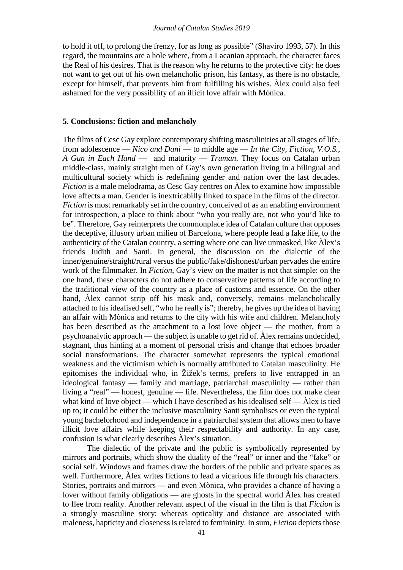to hold it off, to prolong the frenzy, for as long as possible" (Shaviro 1993, 57). In this regard, the mountains are a hole where, from a Lacanian approach, the character faces the Real of his desires. That is the reason why he returns to the protective city: he does not want to get out of his own melancholic prison, his fantasy, as there is no obstacle, except for himself, that prevents him from fulfilling his wishes. Àlex could also feel ashamed for the very possibility of an illicit love affair with Mònica.

# **5. Conclusions: fiction and melancholy**

The films of Cesc Gay explore contemporary shifting masculinities at all stages of life, from adolescence — *Nico and Dani* — to middle age — *In the City*, *Fiction*, *V.O.S.*, *A Gun in Each Hand* — and maturity — *Truman*. They focus on Catalan urban middle-class, mainly straight men of Gay's own generation living in a bilingual and multicultural society which is redefining gender and nation over the last decades. *Fiction* is a male melodrama, as Cesc Gay centres on Àlex to examine how impossible love affects a man. Gender is inextricabilly linked to space in the films of the director. *Fiction* is most remarkably set in the country, conceived of as an enabling environment for introspection, a place to think about "who you really are, not who you'd like to be". Therefore, Gay reinterprets the commonplace idea of Catalan culture that opposes the deceptive, illusory urban milieu of Barcelona, where people lead a fake life, to the authenticity of the Catalan country, a setting where one can live unmasked, like Àlex's friends Judith and Santi. In general, the discussion on the dialectic of the inner/genuine/straight/rural versus the public/fake/dishonest/urban pervades the entire work of the filmmaker. In *Fiction*, Gay's view on the matter is not that simple: on the one hand, these characters do not adhere to conservative patterns of life according to the traditional view of the country as a place of customs and essence. On the other hand, Àlex cannot strip off his mask and, conversely, remains melancholically attached to his idealised self, "who he really is"; thereby, he gives up the idea of having an affair with Mònica and returns to the city with his wife and children. Melancholy has been described as the attachment to a lost love object — the mother, from a psychoanalytic approach — the subject is unable to get rid of. Àlex remains undecided, stagnant, thus hinting at a moment of personal crisis and change that echoes broader social transformations. The character somewhat represents the typical emotional weakness and the victimism which is normally attributed to Catalan masculinity. He epitomises the individual who, in Žižek's terms, prefers to live entrapped in an ideological fantasy — family and marriage, patriarchal masculinity — rather than living a "real" — honest, genuine — life. Nevertheless, the film does not make clear what kind of love object — which I have described as his idealised self —  $\hat{A}$ lex is tied up to; it could be either the inclusive masculinity Santi symbolises or even the typical young bachelorhood and independence in a patriarchal system that allows men to have illicit love affairs while keeping their respectability and authority. In any case, confusion is what clearly describes Àlex's situation.

The dialectic of the private and the public is symbolically represented by mirrors and portraits, which show the duality of the "real" or inner and the "fake" or social self. Windows and frames draw the borders of the public and private spaces as well. Furthermore, Alex writes fictions to lead a vicarious life through his characters. Stories, portraits and mirrors — and even Mònica, who provides a chance of having a lover without family obligations — are ghosts in the spectral world Àlex has created to flee from reality. Another relevant aspect of the visual in the film is that *Fiction* is a strongly masculine story: whereas opticality and distance are associated with maleness, hapticity and closeness is related to femininity. In sum, *Fiction* depicts those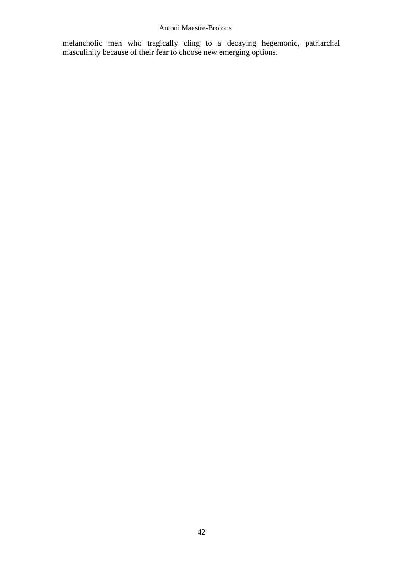melancholic men who tragically cling to a decaying hegemonic, patriarchal masculinity because of their fear to choose new emerging options.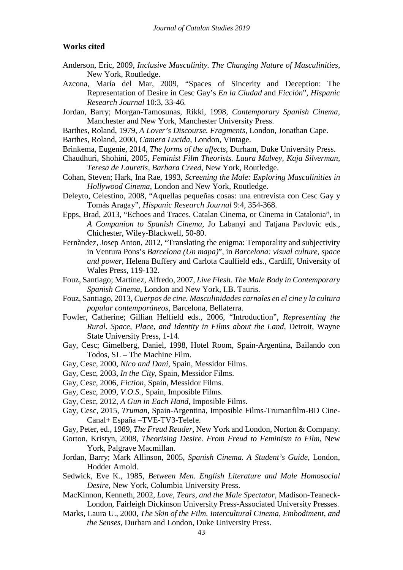## **Works cited**

- Anderson, Eric, 2009, *Inclusive Masculinity. The Changing Nature of Masculinities*, New York, Routledge.
- Azcona, María del Mar, 2009, "Spaces of Sincerity and Deception: The Representation of Desire in Cesc Gay's *En la Ciudad* and *Ficción*", *Hispanic Research Journal* 10:3, 33-46.
- Jordan, Barry; Morgan-Tamosunas, Rikki, 1998, *Contemporary Spanish Cinema*, Manchester and New York, Manchester University Press.
- Barthes, Roland, 1979, *A Lover's Discourse. Fragments*, London, Jonathan Cape.
- Barthes, Roland, 2000, *Camera Lucida*, London, Vintage.
- Brinkema, Eugenie, 2014, *The forms of the affects*, Durham, Duke University Press.
- Chaudhuri, Shohini, 2005, *Feminist Film Theorists. Laura Mulvey, Kaja Silverman, Teresa de Lauretis, Barbara Creed*, New York, Routledge.
- Cohan, Steven; Hark, Ina Rae, 1993, *Screening the Male: Exploring Masculinities in Hollywood Cinema*, London and New York, Routledge.
- Deleyto, Celestino, 2008, "Aquellas pequeñas cosas: una entrevista con Cesc Gay y Tomás Aragay", *Hispanic Research Journal* 9:4, 354-368.
- Epps, Brad, 2013, "Echoes and Traces. Catalan Cinema, or Cinema in Catalonia", in *A Companion to Spanish Cinema*, Jo Labanyi and Tatjana Pavlovic eds., Chichester, Wiley-Blackwell, 50-80.
- Fernàndez, Josep Anton, 2012, "Translating the enigma: Temporality and subjectivity in Ventura Pons's *Barcelona (Un mapa)*", in *Barcelona: visual culture, space and power*, Helena Buffery and Carlota Caulfield eds., Cardiff, University of Wales Press, 119-132.
- Fouz, Santiago; Martínez, Alfredo, 2007, *Live Flesh. The Male Body in Contemporary Spanish Cinema*, London and New York, I.B. Tauris.
- Fouz, Santiago, 2013, *Cuerpos de cine. Masculinidades carnales en el cine y la cultura popular contemporáneos*, Barcelona, Bellaterra.
- Fowler, Catherine; Gillian Helfield eds., 2006, "Introduction", *Representing the Rural. Space, Place, and Identity in Films about the Land*, Detroit, Wayne State University Press, 1-14.
- Gay, Cesc; Gimelberg, Daniel, 1998, Hotel Room, Spain-Argentina, Bailando con Todos, SL – The Machine Film.
- Gay, Cesc, 2000, *Nico and Dani*, Spain, Messidor Films.
- Gay, Cesc, 2003, *In the City*, Spain, Messidor Films.
- Gay, Cesc, 2006, *Fiction*, Spain, Messidor Films.
- Gay, Cesc, 2009, *V.O.S.*, Spain, Imposible Films.
- Gay, Cesc, 2012, *A Gun in Each Hand*, Imposible Films.
- Gay, Cesc, 2015, *Truman*, Spain-Argentina, Imposible Films-Trumanfilm-BD Cine-Canal+ España –TVE-TV3-Telefe.
- Gay, Peter, ed., 1989, *The Freud Reader*, New York and London, Norton & Company.
- Gorton, Kristyn, 2008, *Theorising Desire. From Freud to Feminism to Film*, New York, Palgrave Macmillan.
- Jordan, Barry; Mark Allinson, 2005, *Spanish Cinema. A Student's Guide*, London, Hodder Arnold.
- Sedwick, Eve K., 1985, *Between Men. English Literature and Male Homosocial Desire*, New York, Columbia University Press.
- MacKinnon, Kenneth, 2002, *Love, Tears, and the Male Spectator*, Madison-Teaneck-London, Fairleigh Dickinson University Press-Associated University Presses.
- Marks, Laura U., 2000, *The Skin of the Film. Intercultural Cinema, Embodiment, and the Senses*, Durham and London, Duke University Press.